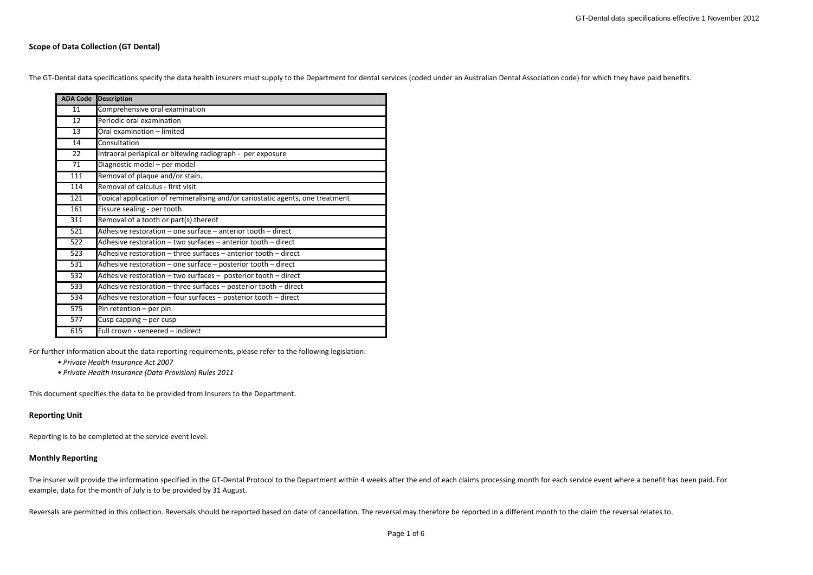# **Scope of Data Collection (GT Dental)**

The GT‐Dental data specifications specify the data health insurers must supply to the Department for dental services (coded under an Australian Dental Association code) for which they have paid benefits.

| <b>ADA Code</b> | <b>Description</b>                                                             |
|-----------------|--------------------------------------------------------------------------------|
| 11              | Comprehensive oral examination                                                 |
| $\overline{12}$ | Periodic oral examination                                                      |
| $\overline{13}$ | Oral examination - limited                                                     |
| 14              | Consultation                                                                   |
| $\overline{22}$ | Intraoral periapical or bitewing radiograph - per exposure                     |
| 71              | Diagnostic model - per model                                                   |
| 111             | Removal of plaque and/or stain.                                                |
| 114             | Removal of calculus - first visit                                              |
| 121             | Topical application of remineralising and/or cariostatic agents, one treatment |
| 161             | Fissure sealing - per tooth                                                    |
| 311             | Removal of a tooth or part(s) thereof                                          |
| 521             | Adhesive restoration – one surface – anterior tooth – direct                   |
| 522             | Adhesive restoration – two surfaces – anterior tooth – direct                  |
| 523             | Adhesive restoration - three surfaces - anterior tooth - direct                |
| 531             | Adhesive restoration - one surface - posterior tooth - direct                  |
| 532             | Adhesive restoration - two surfaces - posterior tooth - direct                 |
| 533             | Adhesive restoration - three surfaces - posterior tooth - direct               |
| 534             | Adhesive restoration - four surfaces - posterior tooth - direct                |
| 575             | Pin retention - per pin                                                        |
| 577             | Cusp capping - per cusp                                                        |
| 615             | Full crown - veneered - indirect                                               |

For further information about the data reporting requirements, please refer to the following legislation:

- *• Private Health Insurance Act 2007*
- *• Private Health Insurance (Data Provision) Rules 2011*

This document specifies the data to be provided from Insurers to the Department.

### **Reporting Unit**

Reporting is to be completed at the service event level.

# **Monthly Reporting**

The insurer will provide the information specified in the GT‐Dental Protocol to the Department within 4 weeks after the end of each claims processing month for each service event where a benefit has been paid. For example, data for the month of July is to be provided by 31 August.

Reversals are permitted in this collection. Reversals should be reported based on date of cancellation. The reversal may therefore be reported in <sup>a</sup> different month to the claim the reversal relates to.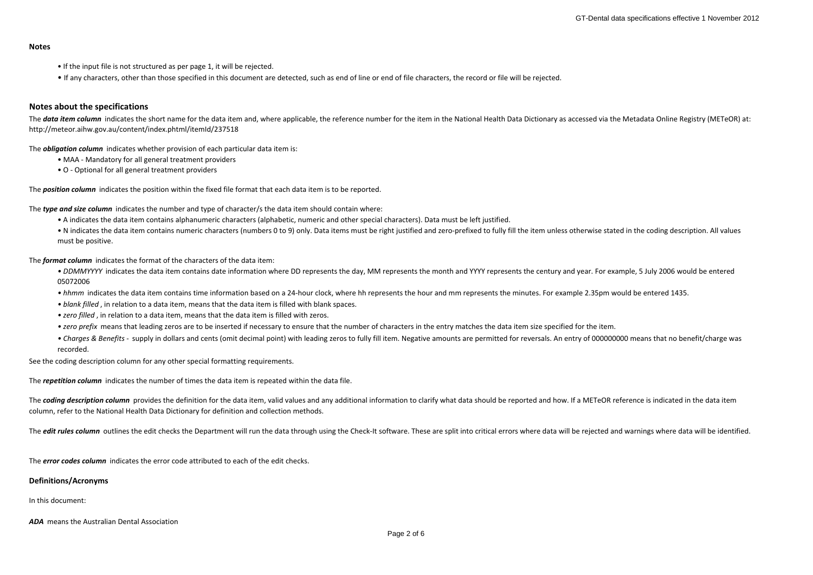#### **Notes**

- If the input file is not structured as per page 1, it will be rejected.
- If any characters, other than those specified in this document are detected, such as end of line or end of file characters, the record or file will be rejected.

# **Notes about the specifications**

The data item column indicates the short name for the data item and, where applicable, the reference number for the item in the National Health Data Dictionary as accessed via the Metadata Online Registry (METeOR) at: http://meteor.aihw.gov.au/content/index.phtml/itemId/237518

The *obligation column* indicates whether provision of each particular data item is:

- MAA ‐ Mandatory for all general treatment providers
- O ‐ Optional for all general treatment providers

The *position column* indicates the position within the fixed file format that each data item is to be reported.

The *type and size column* indicates the number and type of character/s the data item should contain where:

- A indicates the data item contains alphanumeric characters (alphabetic, numeric and other special characters). Data must be left justified.
- N indicates the data item contains numeric characters (numbers 0 to 9) only. Data items must be right justified and zero-prefixed to fully fill the item unless otherwise stated in the coding description. All values must be positive.

The *format column* indicates the format of the characters of the data item:

- DDMMYYYY indicates the data item contains date information where DD represents the day, MM represents the month and YYYY represents the century and year. For example, 5 July 2006 would be entered 05072006
- hhmm indicates the data item contains time information based on a 24‐hour clock, where hh represents the hour and mm represents the minutes. For example 2.35pm would be entered 1435.
- *• blank filled* , in relation to <sup>a</sup> data item, means that the data item is filled with blank spaces.
- *• zero filled* , in relation to <sup>a</sup> data item, means that the data item is filled with zeros.
- *• zero prefix* means that leading zeros are to be inserted if necessary to ensure that the number of characters in the entry matches the data item size specified for the item.
- Charges & Benefits supply in dollars and cents (omit decimal point) with leading zeros to fully fill item. Negative amounts are permitted for reversals. An entry of 000000000 means that no benefit/charge was recorded.

See the coding description column for any other special formatting requirements.

The *repetition column* indicates the number of times the data item is repeated within the data file.

The coding description column provides the definition for the data item, valid values and any additional information to clarify what data should be reported and how. If a METeOR reference is indicated in the data item column, refer to the National Health Data Dictionary for definition and collection methods.

The *edit rules column* outlines the edit checks the Department will run the data through using the Check-It software. These are split into critical errors where data will be rejected and warnings where data will be identi

The *error codes column* indicates the error code attributed to each of the edit checks.

#### **Definitions/Acronyms**

In this document:

*ADA* means the Australian Dental Association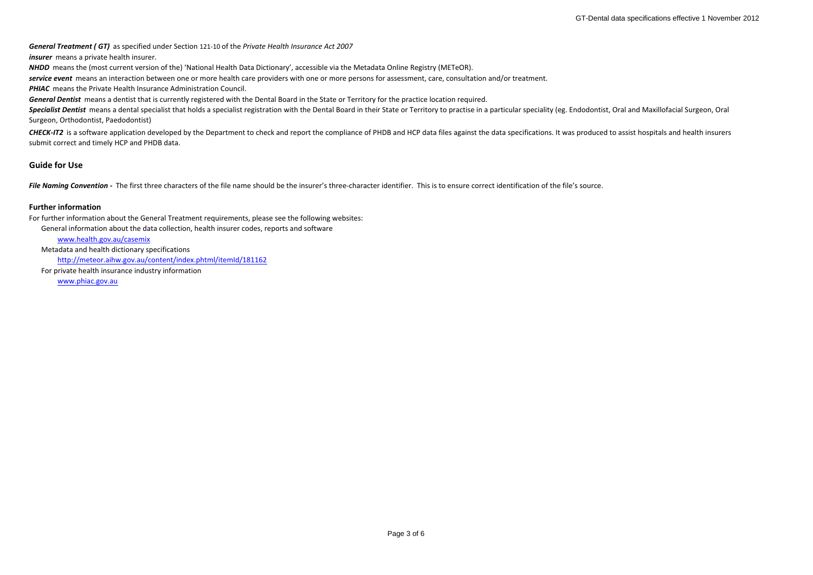*General Treatment ( GT)* as specified under Section <sup>121</sup>‐<sup>10</sup> of the *Private Health Insurance Act 2007*

*insurer* means a private health insurer.

*NHDD* means the (most current version of the) 'National Health Data Dictionary', accessible via the Metadata Online Registry (METeOR).

*service event* means an interaction between one or more health care providers with one or more persons for assessment, care, consultation and/or treatment.

*PHIAC* means the Private Health Insurance Administration Council.

*General Dentist* means a dentist that is currently registered with the Dental Board in the State or Territory for the practice location required.

Specialist Dentist means a dental specialist that holds a specialist registration with the Dental Board in their State or Territory to practise in a particular speciality (eg. Endodontist, Oral and Maxillofacial Surgeon, O Surgeon, Orthodontist, Paedodontist)

CHECK-IT2 is a software application developed by the Department to check and report the compliance of PHDB and HCP data files against the data specifications. It was produced to assist hospitals and health insurers submit correct and timely HCP and PHDB data.

# **Guide for Use**

File Naming Convention - The first three characters of the file name should be the insurer's three-character identifier. This is to ensure correct identification of the file's source.

### **Further information**

For further information about the General Treatment requirements, please see the following websites:

General information about the data collection, health insurer codes, reports and software

[www.health.gov.au/casemix](http://www.health.gov.au/casemix)

Metadata and health dictionary specifications <http://meteor.aihw.gov.au/content/index.phtml/itemId/181162> For private health insurance industry information

[www.phiac.gov.au](http://www.phiac.gov.au/)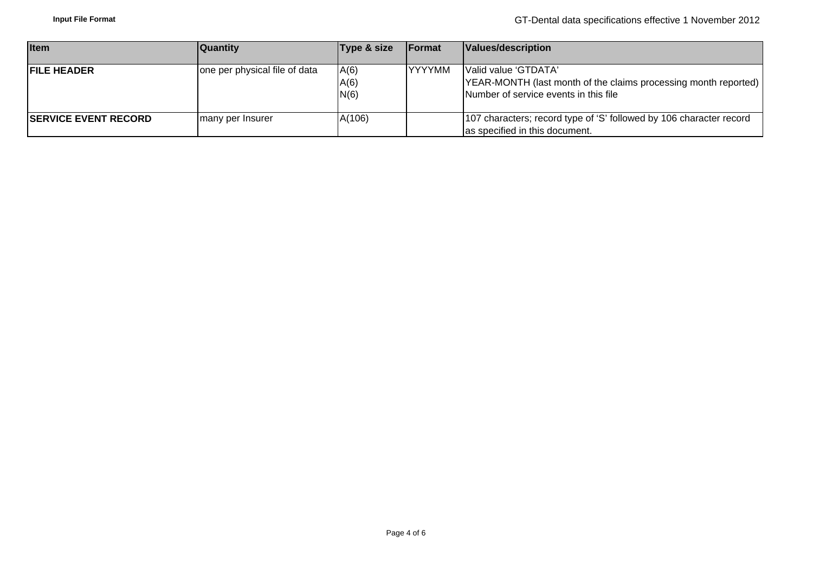| <b>Item</b>                  | <b>Quantity</b>               | Type & size          | <b>Format</b> | Values/description                                                                                                               |
|------------------------------|-------------------------------|----------------------|---------------|----------------------------------------------------------------------------------------------------------------------------------|
| <b>IFILE HEADER</b>          | one per physical file of data | A(6)<br>A(6)<br>N(6) | <b>YYYYMM</b> | Valid value 'GTDATA'<br>YEAR-MONTH (last month of the claims processing month reported)<br>Number of service events in this file |
| <b>ISERVICE EVENT RECORD</b> | I many per Insurer            | A(106)               |               | 107 characters; record type of 'S' followed by 106 character record<br>as specified in this document.                            |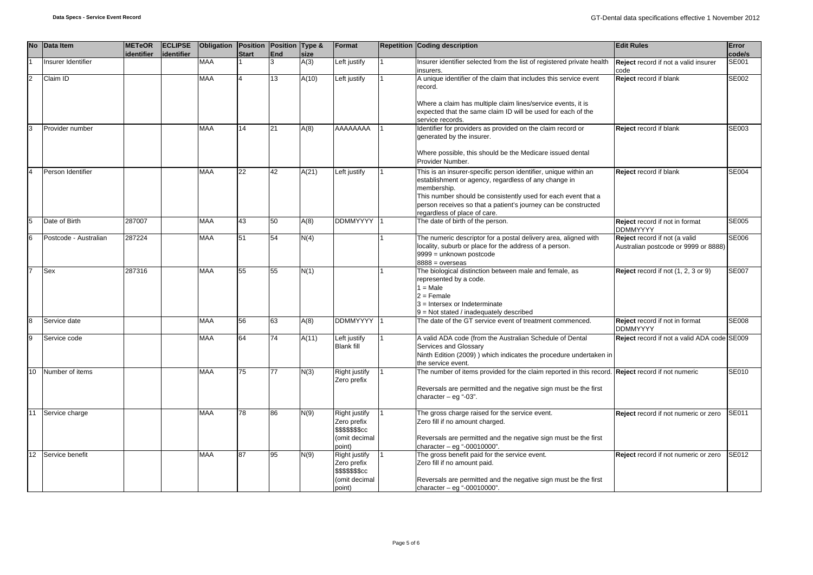|                  | No Data Item          | <b>METeOR</b><br>identifier | <b>ECLIPSE</b><br>identifier | Obligation Position Position Type & | <b>Start</b> | <b>End</b> | size  | Format                                                                             | <b>Repetition Coding description</b>                                                                                                                                                                                                                                                                      | <b>Edit Rules</b>                                                     | Error<br>code/s |
|------------------|-----------------------|-----------------------------|------------------------------|-------------------------------------|--------------|------------|-------|------------------------------------------------------------------------------------|-----------------------------------------------------------------------------------------------------------------------------------------------------------------------------------------------------------------------------------------------------------------------------------------------------------|-----------------------------------------------------------------------|-----------------|
|                  | Insurer Identifier    |                             |                              | <b>MAA</b>                          |              | 3          | A(3)  | Left justify                                                                       | Insurer identifier selected from the list of registered private health<br>insurers.                                                                                                                                                                                                                       | Reject record if not a valid insurer<br>code                          | SE001           |
| $\mathcal{P}$    | Claim ID              |                             |                              | <b>MAA</b>                          |              | 13         | A(10) | Left justify                                                                       | A unique identifier of the claim that includes this service event<br>record.<br>Where a claim has multiple claim lines/service events, it is                                                                                                                                                              | Reject record if blank                                                | SE002           |
|                  |                       |                             |                              |                                     |              |            |       |                                                                                    | expected that the same claim ID will be used for each of the<br>service records.                                                                                                                                                                                                                          |                                                                       |                 |
|                  | Provider number       |                             |                              | <b>MAA</b>                          | 14           | 21         | A(8)  | AAAAAAAA                                                                           | Identifier for providers as provided on the claim record or<br>generated by the insurer.<br>Where possible, this should be the Medicare issued dental                                                                                                                                                     | Reject record if blank                                                | SE003           |
|                  |                       |                             |                              |                                     |              |            |       |                                                                                    | Provider Number.                                                                                                                                                                                                                                                                                          |                                                                       |                 |
|                  | Person Identifier     |                             |                              | <b>MAA</b>                          | 22           | 42         | A(21) | Left justify                                                                       | This is an insurer-specific person identifier, unique within an<br>establishment or agency, regardless of any change in<br>membership.<br>This number should be consistently used for each event that a<br>person receives so that a patient's journey can be constructed<br>regardless of place of care. | <b>Reject</b> record if blank                                         | <b>SE004</b>    |
|                  | Date of Birth         | 287007                      |                              | <b>MAA</b>                          | 43           | 50         | A(8)  | <b>DDMMYYYY</b>                                                                    | The date of birth of the person.                                                                                                                                                                                                                                                                          | Reject record if not in format<br><b>DDMMYYYY</b>                     | <b>SE005</b>    |
| 6                | Postcode - Australian | 287224                      |                              | <b>MAA</b>                          | 51           | 54         | N(4)  |                                                                                    | The numeric descriptor for a postal delivery area, aligned with<br>locality, suburb or place for the address of a person.<br>9999 = unknown postcode<br>$8888 = 0$ verseas                                                                                                                                | Reject record if not (a valid<br>Australian postcode or 9999 or 8888) | SE006           |
|                  | Sex                   | 287316                      |                              | <b>MAA</b>                          | 55           | 55         | N(1)  |                                                                                    | The biological distinction between male and female, as<br>represented by a code.<br>$1 = Male$<br>$2 =$ Female<br>$3$ = Intersex or Indeterminate<br>9 = Not stated / inadequately described                                                                                                              | Reject record if not (1, 2, 3 or 9)                                   | SE007           |
|                  | Service date          |                             |                              | <b>MAA</b>                          | 56           | 63         | A(8)  | <b>DDMMYYYY</b>                                                                    | The date of the GT service event of treatment commenced.                                                                                                                                                                                                                                                  | Reject record if not in format<br><b>DDMMYYYY</b>                     | <b>SE008</b>    |
| 9                | Service code          |                             |                              | <b>MAA</b>                          | 64           | 74         | A(11) | Left justify<br><b>Blank fill</b>                                                  | A valid ADA code (from the Australian Schedule of Dental<br>Services and Glossary<br>Ninth Edition (2009) ) which indicates the procedure undertaken in<br>the service event.                                                                                                                             | Reject record if not a valid ADA code SE009                           |                 |
| 10               | Number of items       |                             |                              | <b>MAA</b>                          | 75           | 77         | N(3)  | Right justify<br>Zero prefix                                                       | The number of items provided for the claim reported in this record. Reject record if not numeric<br>Reversals are permitted and the negative sign must be the first<br>character $-$ eg "-03".                                                                                                            |                                                                       | SE010           |
| 11               | Service charge        |                             |                              | <b>MAA</b>                          | 78           | 86         | N(9)  | <b>Right justify</b><br>Zero prefix<br>\$\$\$\$\$\$\$cc<br>(omit decimal<br>point) | The gross charge raised for the service event.<br>Zero fill if no amount charged.<br>Reversals are permitted and the negative sign must be the first<br>character $-$ eg "-00010000".                                                                                                                     | Reject record if not numeric or zero                                  | <b>SE011</b>    |
| 12 <sup>12</sup> | Service benefit       |                             |                              | <b>MAA</b>                          | 87           | 95         | N(9)  | Right justify<br>Zero prefix<br>\$\$\$\$\$\$\$cc<br>(omit decimal<br>point)        | The gross benefit paid for the service event.<br>Zero fill if no amount paid.<br>Reversals are permitted and the negative sign must be the first<br>character - eq "-00010000".                                                                                                                           | Reject record if not numeric or zero                                  | SE012           |